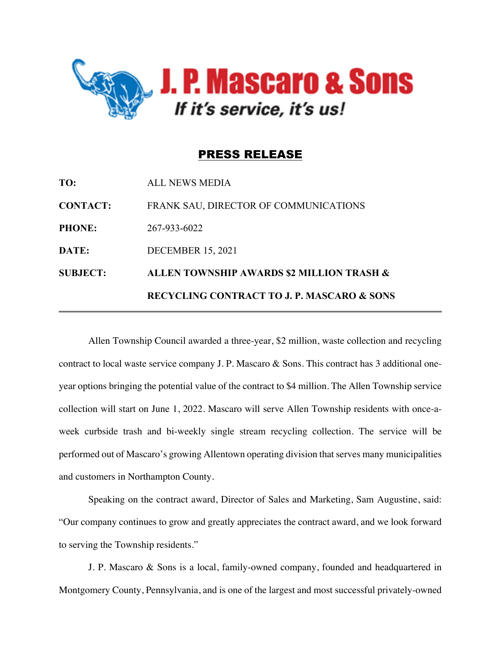

## PRESS RELEASE

|                 | <b>RECYCLING CONTRACT TO J. P. MASCARO &amp; SONS</b> |
|-----------------|-------------------------------------------------------|
| <b>SUBJECT:</b> | ALLEN TOWNSHIP AWARDS \$2 MILLION TRASH &             |
| DATE:           | <b>DECEMBER 15, 2021</b>                              |
| <b>PHONE:</b>   | 267-933-6022                                          |
| <b>CONTACT:</b> | FRANK SAU, DIRECTOR OF COMMUNICATIONS                 |
| TO:             | <b>ALL NEWS MEDIA</b>                                 |

Allen Township Council awarded a three-year, \$2 million, waste collection and recycling contract to local waste service company J. P. Mascaro & Sons. This contract has 3 additional oneyear options bringing the potential value of the contract to \$4 million. The Allen Township service collection will start on June 1, 2022. Mascaro will serve Allen Township residents with once-aweek curbside trash and bi-weekly single stream recycling collection. The service will be performed out of Mascaro's growing Allentown operating division that serves many municipalities and customers in Northampton County.

Speaking on the contract award, Director of Sales and Marketing, Sam Augustine, said: "Our company continues to grow and greatly appreciates the contract award, and we look forward to serving the Township residents."

J. P. Mascaro & Sons is a local, family-owned company, founded and headquartered in Montgomery County, Pennsylvania, and is one of the largest and most successful privately-owned